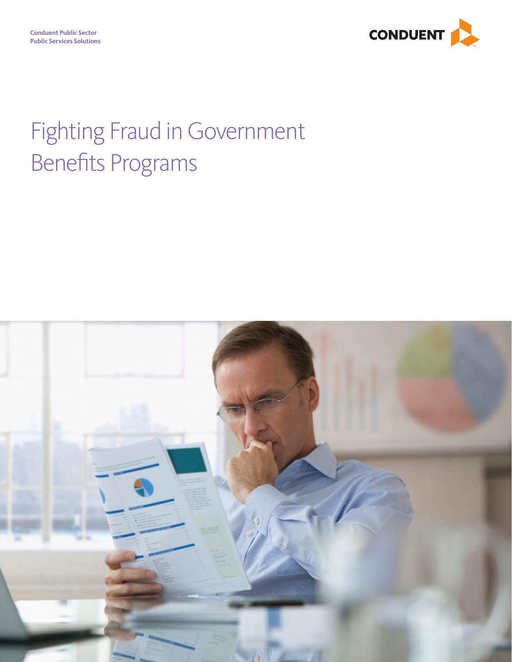

# Fighting Fraud in Government Benefits Programs

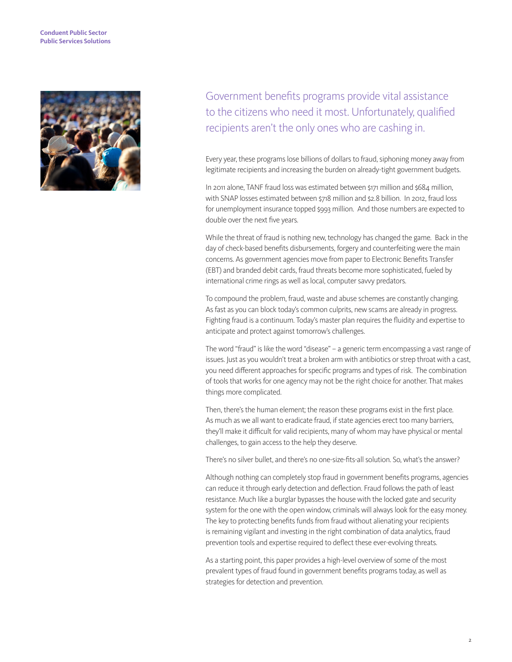#### **Conduent Public Sector Public Services Solutions**



Government benefits programs provide vital assistance to the citizens who need it most. Unfortunately, qualified recipients aren't the only ones who are cashing in.

Every year, these programs lose billions of dollars to fraud, siphoning money away from legitimate recipients and increasing the burden on already-tight government budgets.

In 2011 alone, TANF fraud loss was estimated between \$171 million and \$684 million, with SNAP losses estimated between \$718 million and \$2.8 billion. In 2012, fraud loss for unemployment insurance topped \$993 million. And those numbers are expected to double over the next five years.

While the threat of fraud is nothing new, technology has changed the game. Back in the day of check-based benefits disbursements, forgery and counterfeiting were the main concerns. As government agencies move from paper to Electronic Benefits Transfer (EBT) and branded debit cards, fraud threats become more sophisticated, fueled by international crime rings as well as local, computer savvy predators.

To compound the problem, fraud, waste and abuse schemes are constantly changing. As fast as you can block today's common culprits, new scams are already in progress. Fighting fraud is a continuum. Today's master plan requires the fluidity and expertise to anticipate and protect against tomorrow's challenges.

The word "fraud" is like the word "disease" – a generic term encompassing a vast range of issues. Just as you wouldn't treat a broken arm with antibiotics or strep throat with a cast, you need different approaches for specific programs and types of risk. The combination of tools that works for one agency may not be the right choice for another. That makes things more complicated.

Then, there's the human element; the reason these programs exist in the first place. As much as we all want to eradicate fraud, if state agencies erect too many barriers, they'll make it difficult for valid recipients, many of whom may have physical or mental challenges, to gain access to the help they deserve.

There's no silver bullet, and there's no one-size-fits-all solution. So, what's the answer?

Although nothing can completely stop fraud in government benefits programs, agencies can reduce it through early detection and deflection. Fraud follows the path of least resistance. Much like a burglar bypasses the house with the locked gate and security system for the one with the open window, criminals will always look for the easy money. The key to protecting benefits funds from fraud without alienating your recipients is remaining vigilant and investing in the right combination of data analytics, fraud prevention tools and expertise required to deflect these ever-evolving threats.

As a starting point, this paper provides a high-level overview of some of the most prevalent types of fraud found in government benefits programs today, as well as strategies for detection and prevention.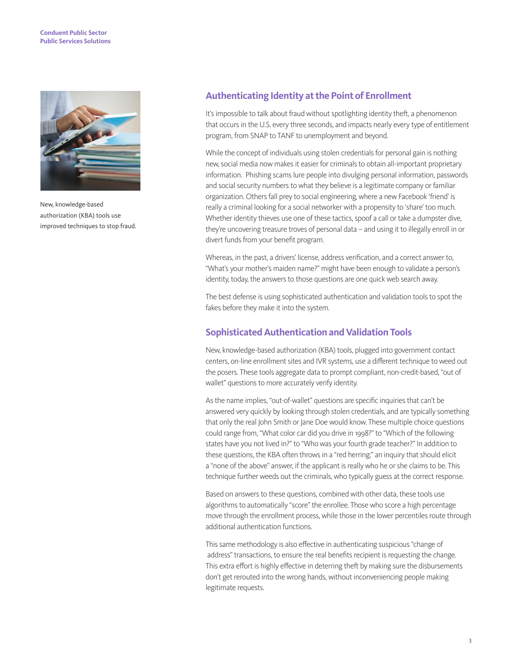#### **Conduent Public Sector Public Services Solutions**



New, knowledge-based authorization (KBA) tools use improved techniques to stop fraud.

### **Authenticating Identity at the Point of Enrollment**

It's impossible to talk about fraud without spotlighting identity theft, a phenomenon that occurs in the U.S. every three seconds, and impacts nearly every type of entitlement program, from SNAP to TANF to unemployment and beyond.

While the concept of individuals using stolen credentials for personal gain is nothing new, social media now makes it easier for criminals to obtain all-important proprietary information. Phishing scams lure people into divulging personal information, passwords and social security numbers to what they believe is a legitimate company or familiar organization. Others fall prey to social engineering, where a new Facebook 'friend' is really a criminal looking for a social networker with a propensity to 'share' too much. Whether identity thieves use one of these tactics, spoof a call or take a dumpster dive, they're uncovering treasure troves of personal data – and using it to illegally enroll in or divert funds from your benefit program.

Whereas, in the past, a drivers' license, address verification, and a correct answer to, "What's your mother's maiden name?" might have been enough to validate a person's identity, today, the answers to those questions are one quick web search away.

The best defense is using sophisticated authentication and validation tools to spot the fakes before they make it into the system.

#### **Sophisticated Authentication and Validation Tools**

New, knowledge-based authorization (KBA) tools, plugged into government contact centers, on-line enrollment sites and IVR systems, use a different technique to weed out the posers. These tools aggregate data to prompt compliant, non-credit-based, "out of wallet" questions to more accurately verify identity.

As the name implies, "out-of-wallet" questions are specific inquiries that can't be answered very quickly by looking through stolen credentials, and are typically something that only the real John Smith or Jane Doe would know. These multiple choice questions could range from, "What color car did you drive in 1998?" to "Which of the following states have you not lived in?" to "Who was your fourth grade teacher?" In addition to these questions, the KBA often throws in a "red herring;" an inquiry that should elicit a "none of the above" answer, if the applicant is really who he or she claims to be. This technique further weeds out the criminals, who typically guess at the correct response.

Based on answers to these questions, combined with other data, these tools use algorithms to automatically "score" the enrollee. Those who score a high percentage move through the enrollment process, while those in the lower percentiles route through additional authentication functions.

This same methodology is also effective in authenticating suspicious "change of address" transactions, to ensure the real benefits recipient is requesting the change. This extra effort is highly effective in deterring theft by making sure the disbursements don't get rerouted into the wrong hands, without inconveniencing people making legitimate requests.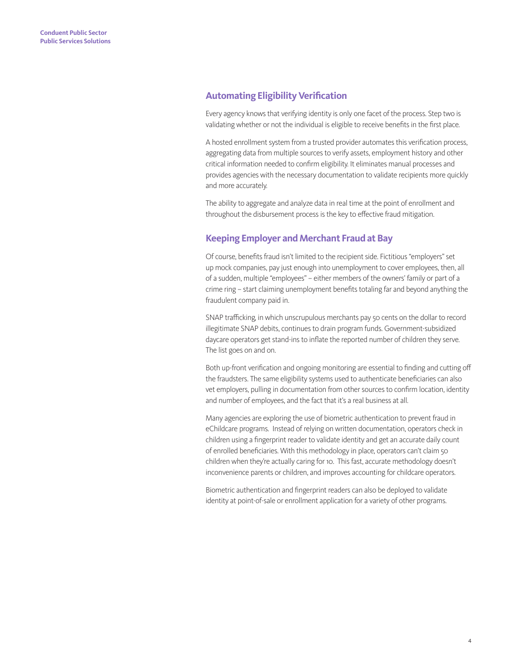### **Automating Eligibility Verification**

Every agency knows that verifying identity is only one facet of the process. Step two is validating whether or not the individual is eligible to receive benefits in the first place.

A hosted enrollment system from a trusted provider automates this verification process, aggregating data from multiple sources to verify assets, employment history and other critical information needed to confirm eligibility. It eliminates manual processes and provides agencies with the necessary documentation to validate recipients more quickly and more accurately.

The ability to aggregate and analyze data in real time at the point of enrollment and throughout the disbursement process is the key to effective fraud mitigation.

## **Keeping Employer and Merchant Fraud at Bay**

Of course, benefits fraud isn't limited to the recipient side. Fictitious "employers" set up mock companies, pay just enough into unemployment to cover employees, then, all of a sudden, multiple "employees" – either members of the owners' family or part of a crime ring – start claiming unemployment benefits totaling far and beyond anything the fraudulent company paid in.

SNAP trafficking, in which unscrupulous merchants pay 50 cents on the dollar to record illegitimate SNAP debits, continues to drain program funds. Government-subsidized daycare operators get stand-ins to inflate the reported number of children they serve. The list goes on and on.

Both up-front verification and ongoing monitoring are essential to finding and cutting off the fraudsters. The same eligibility systems used to authenticate beneficiaries can also vet employers, pulling in documentation from other sources to confirm location, identity and number of employees, and the fact that it's a real business at all.

Many agencies are exploring the use of biometric authentication to prevent fraud in eChildcare programs. Instead of relying on written documentation, operators check in children using a fingerprint reader to validate identity and get an accurate daily count of enrolled beneficiaries. With this methodology in place, operators can't claim 50 children when they're actually caring for 10. This fast, accurate methodology doesn't inconvenience parents or children, and improves accounting for childcare operators.

Biometric authentication and fingerprint readers can also be deployed to validate identity at point-of-sale or enrollment application for a variety of other programs.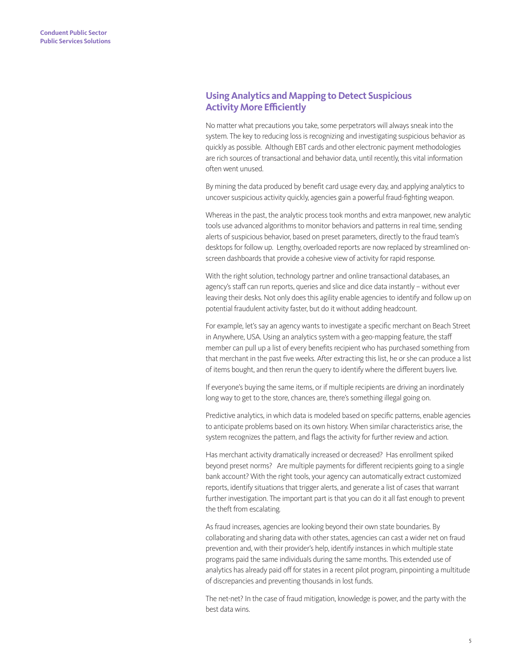# **Using Analytics and Mapping to Detect Suspicious Activity More Efficiently**

No matter what precautions you take, some perpetrators will always sneak into the system. The key to reducing loss is recognizing and investigating suspicious behavior as quickly as possible. Although EBT cards and other electronic payment methodologies are rich sources of transactional and behavior data, until recently, this vital information often went unused.

By mining the data produced by benefit card usage every day, and applying analytics to uncover suspicious activity quickly, agencies gain a powerful fraud-fighting weapon.

Whereas in the past, the analytic process took months and extra manpower, new analytic tools use advanced algorithms to monitor behaviors and patterns in real time, sending alerts of suspicious behavior, based on preset parameters, directly to the fraud team's desktops for follow up. Lengthy, overloaded reports are now replaced by streamlined onscreen dashboards that provide a cohesive view of activity for rapid response.

With the right solution, technology partner and online transactional databases, an agency's staff can run reports, queries and slice and dice data instantly – without ever leaving their desks. Not only does this agility enable agencies to identify and follow up on potential fraudulent activity faster, but do it without adding headcount.

For example, let's say an agency wants to investigate a specific merchant on Beach Street in Anywhere, USA. Using an analytics system with a geo-mapping feature, the staff member can pull up a list of every benefits recipient who has purchased something from that merchant in the past five weeks. After extracting this list, he or she can produce a list of items bought, and then rerun the query to identify where the different buyers live.

If everyone's buying the same items, or if multiple recipients are driving an inordinately long way to get to the store, chances are, there's something illegal going on.

Predictive analytics, in which data is modeled based on specific patterns, enable agencies to anticipate problems based on its own history. When similar characteristics arise, the system recognizes the pattern, and flags the activity for further review and action.

Has merchant activity dramatically increased or decreased? Has enrollment spiked beyond preset norms? Are multiple payments for different recipients going to a single bank account? With the right tools, your agency can automatically extract customized reports, identify situations that trigger alerts, and generate a list of cases that warrant further investigation. The important part is that you can do it all fast enough to prevent the theft from escalating.

As fraud increases, agencies are looking beyond their own state boundaries. By collaborating and sharing data with other states, agencies can cast a wider net on fraud prevention and, with their provider's help, identify instances in which multiple state programs paid the same individuals during the same months. This extended use of analytics has already paid off for states in a recent pilot program, pinpointing a multitude of discrepancies and preventing thousands in lost funds.

The net-net? In the case of fraud mitigation, knowledge is power, and the party with the best data wins.